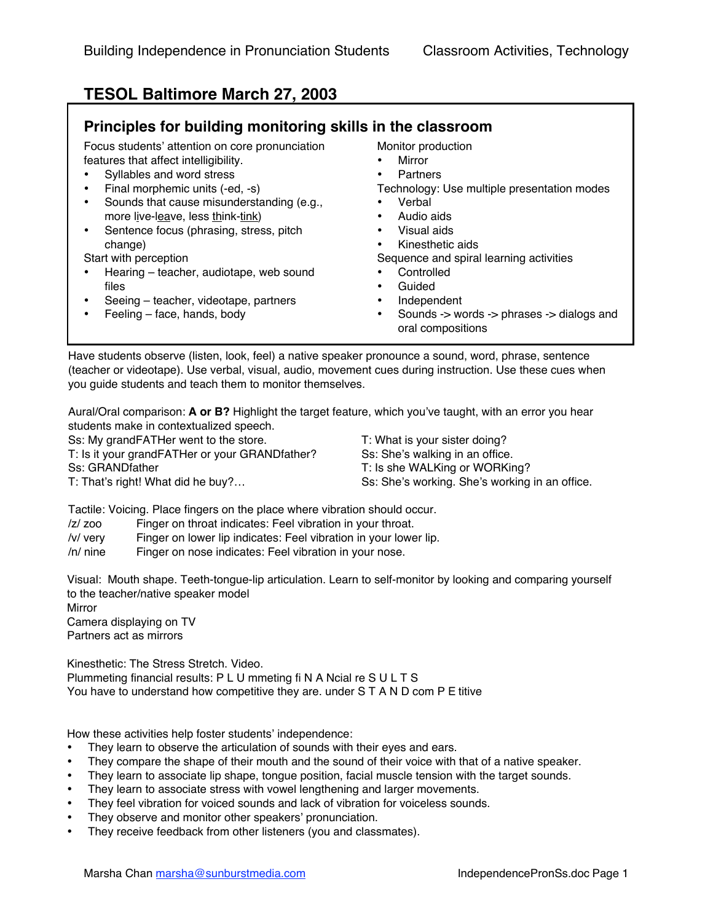## **TESOL Baltimore March 27, 2003**

## **Principles for building monitoring skills in the classroom**

| Focus students' attention on core pronunciation | Monitor production                                             |
|-------------------------------------------------|----------------------------------------------------------------|
| features that affect intelligibility.           | Mirror                                                         |
| Syllables and word stress                       | Partners                                                       |
| Final morphemic units (-ed, -s)                 | Technology: Use multiple presentation modes                    |
| Sounds that cause misunderstanding (e.g.,       | Verbal                                                         |
| more live-leave, less think-tink)               | Audio aids                                                     |
| Sentence focus (phrasing, stress, pitch         | Visual aids                                                    |
| change)                                         | Kinesthetic aids                                               |
| Start with perception                           | Sequence and spiral learning activities                        |
| Hearing - teacher, audiotape, web sound         | Controlled                                                     |
| files                                           | Guided                                                         |
| Seeing – teacher, videotape, partners           | Independent                                                    |
| Feeling - face, hands, body                     | Sounds -> words -> phrases -> dialogs and<br>oral compositions |

Have students observe (listen, look, feel) a native speaker pronounce a sound, word, phrase, sentence (teacher or videotape). Use verbal, visual, audio, movement cues during instruction. Use these cues when you guide students and teach them to monitor themselves.

Aural/Oral comparison: **A or B?** Highlight the target feature, which you've taught, with an error you hear students make in contextualized speech.

Ss: My grandFATHer went to the store.

T: Is it your grandFATHer or your GRANDfather? Ss: GRANDfather T: That's right! What did he buy?…

T: What is your sister doing? Ss: She's walking in an office. T: Is she WALKing or WORKing? Ss: She's working. She's working in an office.

Tactile: Voicing. Place fingers on the place where vibration should occur.

/z/ zoo Finger on throat indicates: Feel vibration in your throat.

/v/ very Finger on lower lip indicates: Feel vibration in your lower lip.

/n/ nine Finger on nose indicates: Feel vibration in your nose.

Visual: Mouth shape. Teeth-tongue-lip articulation. Learn to self-monitor by looking and comparing yourself to the teacher/native speaker model

**Mirror** 

Camera displaying on TV Partners act as mirrors

Kinesthetic: The Stress Stretch. Video.

Plummeting financial results: P L U mmeting fi N A Ncial re S U L T S You have to understand how competitive they are. under S T A N D com P E titive

How these activities help foster students' independence:

They learn to observe the articulation of sounds with their eyes and ears.

They compare the shape of their mouth and the sound of their voice with that of a native speaker.

They learn to associate lip shape, tongue position, facial muscle tension with the target sounds.

They learn to associate stress with vowel lengthening and larger movements.

They feel vibration for voiced sounds and lack of vibration for voiceless sounds.

They observe and monitor other speakers' pronunciation.

They receive feedback from other listeners (you and classmates).